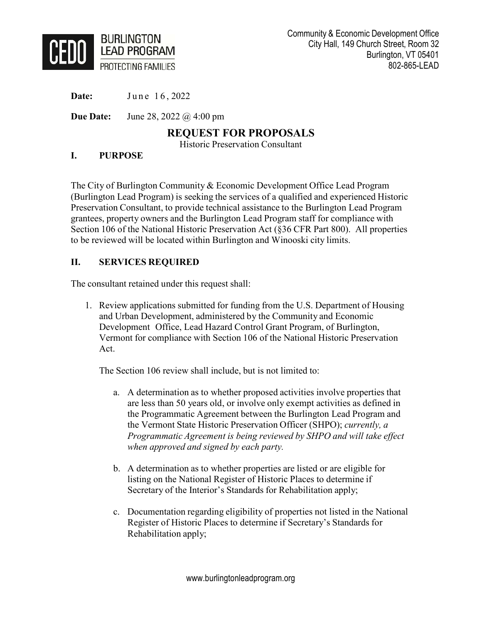

**Date:** June 16, 2022

**Due Date:** June 28, 2022 @ 4:00 pm

# **REQUEST FOR PROPOSALS**

Historic Preservation Consultant

#### **I. PURPOSE**

The City of Burlington Community & Economic Development Office Lead Program (Burlington Lead Program) is seeking the services of a qualified and experienced Historic Preservation Consultant, to provide technical assistance to the Burlington Lead Program grantees, property owners and the Burlington Lead Program staff for compliance with Section 106 of the National Historic Preservation Act (§36 CFR Part 800). All properties to be reviewed will be located within Burlington and Winooski city limits.

# **II. SERVICES REQUIRED**

The consultant retained under this request shall:

1. Review applications submitted for funding from the U.S. Department of Housing and Urban Development, administered by the Community and Economic Development Office, Lead Hazard Control Grant Program, of Burlington, Vermont for compliance with Section 106 of the National Historic Preservation Act.

The Section 106 review shall include, but is not limited to:

- a. A determination as to whether proposed activities involve properties that are less than 50 years old, or involve only exempt activities as defined in the Programmatic Agreement between the Burlington Lead Program and the Vermont State Historic Preservation Officer (SHPO); *currently, a Programmatic Agreement is being reviewed by SHPO and will take effect when approved and signed by each party.*
- b. A determination as to whether properties are listed or are eligible for listing on the National Register of Historic Places to determine if Secretary of the Interior's Standards for Rehabilitation apply;
- c. Documentation regarding eligibility of properties not listed in the National Register of Historic Places to determine if Secretary's Standards for Rehabilitation apply;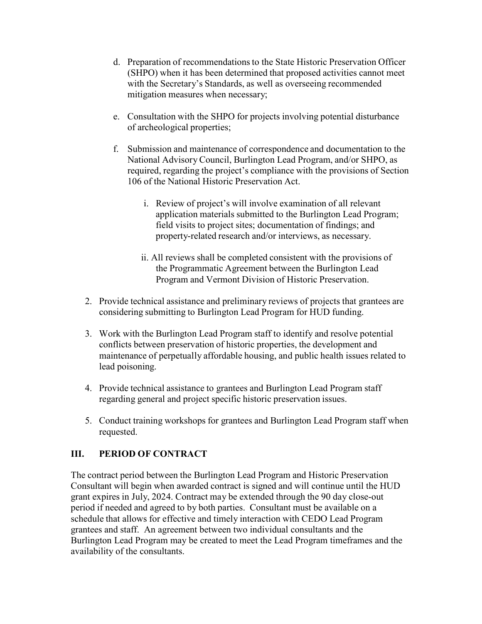- d. Preparation of recommendations to the State Historic Preservation Officer (SHPO) when it has been determined that proposed activities cannot meet with the Secretary's Standards, as well as overseeing recommended mitigation measures when necessary;
- e. Consultation with the SHPO for projects involving potential disturbance of archeological properties;
- f. Submission and maintenance of correspondence and documentation to the National Advisory Council, Burlington Lead Program, and/or SHPO, as required, regarding the project's compliance with the provisions of Section 106 of the National Historic Preservation Act.
	- i. Review of project's will involve examination of all relevant application materials submitted to the Burlington Lead Program; field visits to project sites; documentation of findings; and property-related research and/or interviews, as necessary.
	- ii. All reviews shall be completed consistent with the provisions of the Programmatic Agreement between the Burlington Lead Program and Vermont Division of Historic Preservation.
- 2. Provide technical assistance and preliminary reviews of projects that grantees are considering submitting to Burlington Lead Program for HUD funding.
- 3. Work with the Burlington Lead Program staff to identify and resolve potential conflicts between preservation of historic properties, the development and maintenance of perpetually affordable housing, and public health issues related to lead poisoning.
- 4. Provide technical assistance to grantees and Burlington Lead Program staff regarding general and project specific historic preservation issues.
- 5. Conduct training workshops for grantees and Burlington Lead Program staff when requested.

# **III. PERIOD OF CONTRACT**

The contract period between the Burlington Lead Program and Historic Preservation Consultant will begin when awarded contract is signed and will continue until the HUD grant expires in July, 2024. Contract may be extended through the 90 day close-out period if needed and agreed to by both parties. Consultant must be available on a schedule that allows for effective and timely interaction with CEDO Lead Program grantees and staff. An agreement between two individual consultants and the Burlington Lead Program may be created to meet the Lead Program timeframes and the availability of the consultants.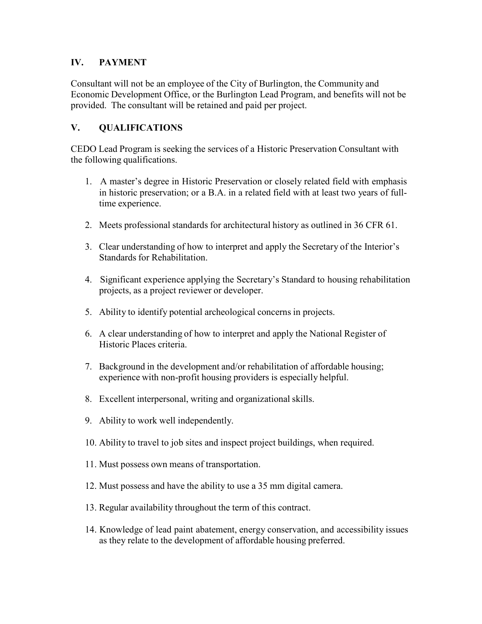#### **IV. PAYMENT**

Consultant will not be an employee of the City of Burlington, the Community and Economic Development Office, or the Burlington Lead Program, and benefits will not be provided. The consultant will be retained and paid per project.

#### **V. QUALIFICATIONS**

CEDO Lead Program is seeking the services of a Historic Preservation Consultant with the following qualifications.

- 1. A master's degree in Historic Preservation or closely related field with emphasis in historic preservation; or a B.A. in a related field with at least two years of fulltime experience.
- 2. Meets professional standards for architectural history as outlined in 36 CFR 61.
- 3. Clear understanding of how to interpret and apply the Secretary of the Interior's Standards for Rehabilitation.
- 4. Significant experience applying the Secretary's Standard to housing rehabilitation projects, as a project reviewer or developer.
- 5. Ability to identify potential archeological concerns in projects.
- 6. A clear understanding of how to interpret and apply the National Register of Historic Places criteria.
- 7. Background in the development and/or rehabilitation of affordable housing; experience with non-profit housing providers is especially helpful.
- 8. Excellent interpersonal, writing and organizational skills.
- 9. Ability to work well independently.
- 10. Ability to travel to job sites and inspect project buildings, when required.
- 11. Must possess own means of transportation.
- 12. Must possess and have the ability to use a 35 mm digital camera.
- 13. Regular availability throughout the term of this contract.
- 14. Knowledge of lead paint abatement, energy conservation, and accessibility issues as they relate to the development of affordable housing preferred.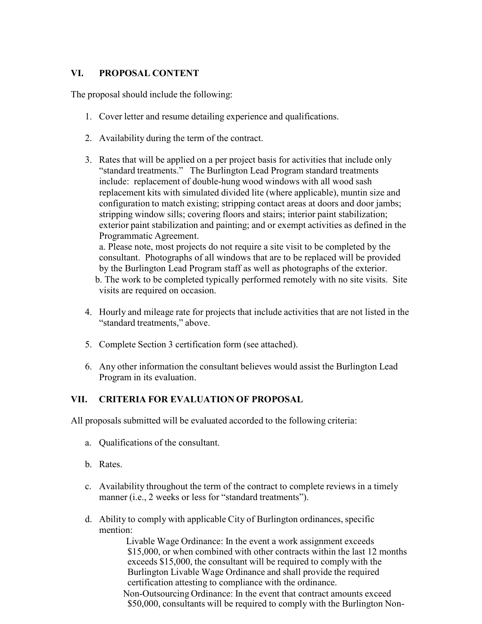#### **VI. PROPOSAL CONTENT**

The proposal should include the following:

- 1. Cover letter and resume detailing experience and qualifications.
- 2. Availability during the term of the contract.
- 3. Rates that will be applied on a per project basis for activities that include only "standard treatments." The Burlington Lead Program standard treatments include: replacement of double-hung wood windows with all wood sash replacement kits with simulated divided lite (where applicable), muntin size and configuration to match existing; stripping contact areas at doors and door jambs; stripping window sills; covering floors and stairs; interior paint stabilization; exterior paint stabilization and painting; and or exempt activities as defined in the Programmatic Agreement.

 a. Please note, most projects do not require a site visit to be completed by the consultant. Photographs of all windows that are to be replaced will be provided by the Burlington Lead Program staff as well as photographs of the exterior.

b. The work to be completed typically performed remotely with no site visits. Site visits are required on occasion.

- 4. Hourly and mileage rate for projects that include activities that are not listed in the "standard treatments," above.
- 5. Complete Section 3 certification form (see attached).
- 6. Any other information the consultant believes would assist the Burlington Lead Program in its evaluation.

# **VII. CRITERIA FOR EVALUATION OF PROPOSAL**

All proposals submitted will be evaluated accorded to the following criteria:

- a. Qualifications of the consultant.
- b. Rates.
- c. Availability throughout the term of the contract to complete reviews in a timely manner (i.e., 2 weeks or less for "standard treatments").
- d. Ability to comply with applicable City of Burlington ordinances, specific mention:

 Livable Wage Ordinance: In the event a work assignment exceeds \$15,000, or when combined with other contracts within the last 12 months exceeds \$15,000, the consultant will be required to comply with the Burlington Livable Wage Ordinance and shall provide the required certification attesting to compliance with the ordinance.

 Non-Outsourcing Ordinance: In the event that contract amounts exceed \$50,000, consultants will be required to comply with the Burlington Non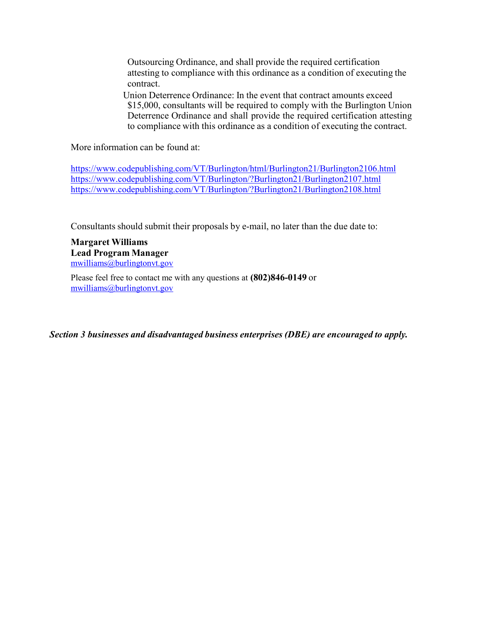Outsourcing Ordinance, and shall provide the required certification attesting to compliance with this ordinance as a condition of executing the contract.

 Union Deterrence Ordinance: In the event that contract amounts exceed \$15,000, consultants will be required to comply with the Burlington Union Deterrence Ordinance and shall provide the required certification attesting to compliance with this ordinance as a condition of executing the contract.

More information can be found at:

https://www.codepublishing.com/VT/Burlington/html/Burlington21/Burlington2106.html https://www.codepublishing.com/VT/Burlington/?Burlington21/Burlington2107.html https://www.codepublishing.com/VT/Burlington/?Burlington21/Burlington2108.html

Consultants should submit their proposals by e-mail, no later than the due date to:

**Margaret Williams Lead Program Manager** mwilliams@burlingtonvt.gov

Please feel free to contact me with any questions at **(802)846-0149** or mwilliams@burlingtonvt.gov

*Section 3 businesses and disadvantaged business enterprises (DBE) are encouraged to apply.*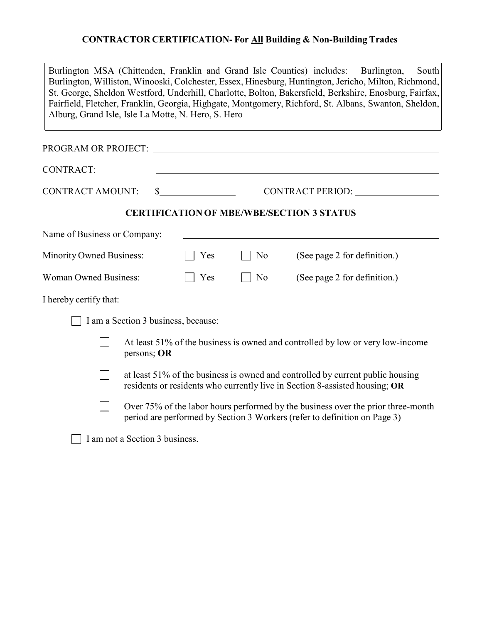# **CONTRACTOR CERTIFICATION- For All Building & Non-Building Trades**

| Burlington MSA (Chittenden, Franklin and Grand Isle Counties) includes:<br>Burlington,<br>South<br>Burlington, Williston, Winooski, Colchester, Essex, Hinesburg, Huntington, Jericho, Milton, Richmond,<br>St. George, Sheldon Westford, Underhill, Charlotte, Bolton, Bakersfield, Berkshire, Enosburg, Fairfax,<br>Fairfield, Fletcher, Franklin, Georgia, Highgate, Montgomery, Richford, St. Albans, Swanton, Sheldon,<br>Alburg, Grand Isle, Isle La Motte, N. Hero, S. Hero |                                                                                                                                                               |    |                                                  |  |  |  |
|------------------------------------------------------------------------------------------------------------------------------------------------------------------------------------------------------------------------------------------------------------------------------------------------------------------------------------------------------------------------------------------------------------------------------------------------------------------------------------|---------------------------------------------------------------------------------------------------------------------------------------------------------------|----|--------------------------------------------------|--|--|--|
| PROGRAM OR PROJECT:                                                                                                                                                                                                                                                                                                                                                                                                                                                                |                                                                                                                                                               |    |                                                  |  |  |  |
| <b>CONTRACT:</b>                                                                                                                                                                                                                                                                                                                                                                                                                                                                   |                                                                                                                                                               |    |                                                  |  |  |  |
| <b>CONTRACT AMOUNT:</b>                                                                                                                                                                                                                                                                                                                                                                                                                                                            |                                                                                                                                                               |    | CONTRACT PERIOD:                                 |  |  |  |
|                                                                                                                                                                                                                                                                                                                                                                                                                                                                                    |                                                                                                                                                               |    | <b>CERTIFICATION OF MBE/WBE/SECTION 3 STATUS</b> |  |  |  |
| Name of Business or Company:                                                                                                                                                                                                                                                                                                                                                                                                                                                       |                                                                                                                                                               |    |                                                  |  |  |  |
| <b>Minority Owned Business:</b>                                                                                                                                                                                                                                                                                                                                                                                                                                                    | Yes                                                                                                                                                           | No | (See page 2 for definition.)                     |  |  |  |
| <b>Woman Owned Business:</b><br>Yes                                                                                                                                                                                                                                                                                                                                                                                                                                                |                                                                                                                                                               | No | (See page 2 for definition.)                     |  |  |  |
| I hereby certify that:                                                                                                                                                                                                                                                                                                                                                                                                                                                             |                                                                                                                                                               |    |                                                  |  |  |  |
| I am a Section 3 business, because:                                                                                                                                                                                                                                                                                                                                                                                                                                                |                                                                                                                                                               |    |                                                  |  |  |  |
|                                                                                                                                                                                                                                                                                                                                                                                                                                                                                    | At least 51% of the business is owned and controlled by low or very low-income<br>persons; OR                                                                 |    |                                                  |  |  |  |
|                                                                                                                                                                                                                                                                                                                                                                                                                                                                                    | at least 51% of the business is owned and controlled by current public housing<br>residents or residents who currently live in Section 8-assisted housing; OR |    |                                                  |  |  |  |
|                                                                                                                                                                                                                                                                                                                                                                                                                                                                                    | Over 75% of the labor hours performed by the business over the prior three-month<br>period are performed by Section 3 Workers (refer to definition on Page 3) |    |                                                  |  |  |  |
| I am not a Section 3 business.                                                                                                                                                                                                                                                                                                                                                                                                                                                     |                                                                                                                                                               |    |                                                  |  |  |  |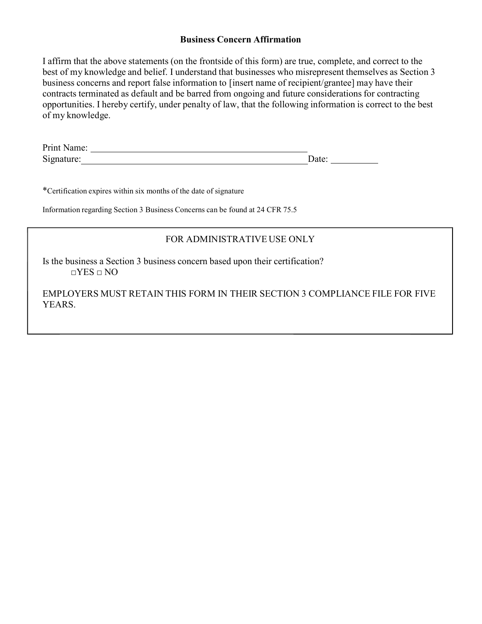#### **Business Concern Affirmation**

I affirm that the above statements (on the frontside of this form) are true, complete, and correct to the best of my knowledge and belief. I understand that businesses who misrepresent themselves as Section 3 business concerns and report false information to [insert name of recipient/grantee] may have their contracts terminated as default and be barred from ongoing and future considerations for contracting opportunities. I hereby certify, under penalty of law, that the following information is correct to the best of my knowledge.

| Print Name: |         |  |
|-------------|---------|--|
| Signature:  | . Iater |  |

\*Certification expires within six months of the date of signature

Information regarding Section 3 Business Concerns can be found at 24 CFR 75.5

# FOR ADMINISTRATIVE USE ONLY

Is the business a Section 3 business concern based upon their certification?  $\Box$ YES  $\Box$  NO

EMPLOYERS MUST RETAIN THIS FORM IN THEIR SECTION 3 COMPLIANCE FILE FOR FIVE YEARS.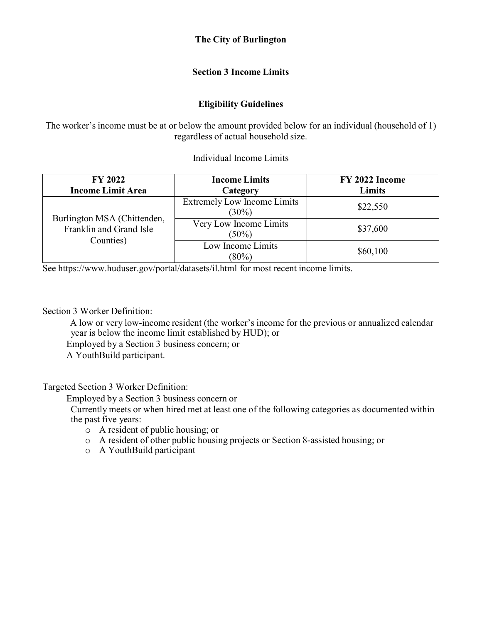#### **The City of Burlington**

#### **Section 3 Income Limits**

#### **Eligibility Guidelines**

The worker's income must be at or below the amount provided below for an individual (household of 1) regardless of actual household size.

Individual Income Limits

| <b>FY 2022</b><br><b>Income Limit Area</b>             | <b>Income Limits</b><br>Category               | FY 2022 Income<br><b>Limits</b> |
|--------------------------------------------------------|------------------------------------------------|---------------------------------|
| Burlington MSA (Chittenden,<br>Franklin and Grand Isle | <b>Extremely Low Income Limits</b><br>$(30\%)$ | \$22,550                        |
|                                                        | Very Low Income Limits<br>$(50\%)$             | \$37,600                        |
| Counties)                                              | Low Income Limits<br>$(80\%)$                  | \$60,100                        |

See https://www.huduser.gov/portal/datasets/il.html for most recent income limits.

Section 3 Worker Definition:

 A low or very low-income resident (the worker's income for the previous or annualized calendar year is below the income limit established by HUD); or Employed by a Section 3 business concern; or

A YouthBuild participant.

Targeted Section 3 Worker Definition:

Employed by a Section 3 business concern or

 Currently meets or when hired met at least one of the following categories as documented within the past five years:

- o A resident of public housing; or
- o A resident of other public housing projects or Section 8-assisted housing; or
- o A YouthBuild participant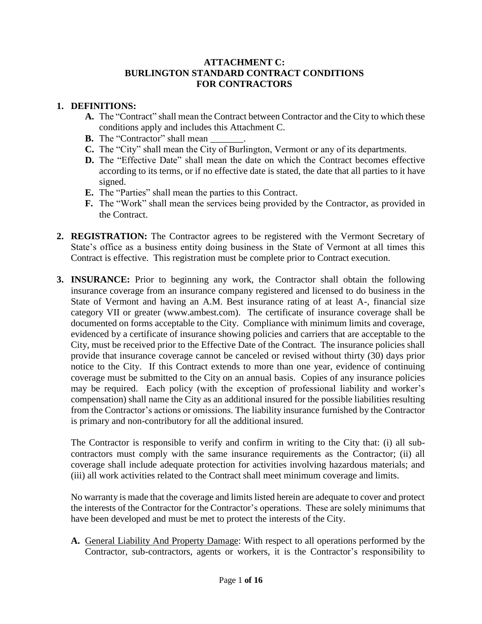#### **ATTACHMENT C: BURLINGTON STANDARD CONTRACT CONDITIONS FOR CONTRACTORS**

#### **1. DEFINITIONS:**

- **A.** The "Contract" shall mean the Contract between Contractor and the City to which these conditions apply and includes this Attachment C.
- **B.** The "Contractor" shall mean
- **C.** The "City" shall mean the City of Burlington, Vermont or any of its departments.
- **D.** The "Effective Date" shall mean the date on which the Contract becomes effective according to its terms, or if no effective date is stated, the date that all parties to it have signed.
- **E.** The "Parties" shall mean the parties to this Contract.
- **F.** The "Work" shall mean the services being provided by the Contractor, as provided in the Contract.
- **2. REGISTRATION:** The Contractor agrees to be registered with the Vermont Secretary of State's office as a business entity doing business in the State of Vermont at all times this Contract is effective. This registration must be complete prior to Contract execution.
- **3. INSURANCE:** Prior to beginning any work, the Contractor shall obtain the following insurance coverage from an insurance company registered and licensed to do business in the State of Vermont and having an A.M. Best insurance rating of at least A-, financial size category VII or greater (www.ambest.com). The certificate of insurance coverage shall be documented on forms acceptable to the City. Compliance with minimum limits and coverage, evidenced by a certificate of insurance showing policies and carriers that are acceptable to the City, must be received prior to the Effective Date of the Contract. The insurance policies shall provide that insurance coverage cannot be canceled or revised without thirty (30) days prior notice to the City. If this Contract extends to more than one year, evidence of continuing coverage must be submitted to the City on an annual basis. Copies of any insurance policies may be required. Each policy (with the exception of professional liability and worker's compensation) shall name the City as an additional insured for the possible liabilities resulting from the Contractor's actions or omissions. The liability insurance furnished by the Contractor is primary and non-contributory for all the additional insured.

The Contractor is responsible to verify and confirm in writing to the City that: (i) all subcontractors must comply with the same insurance requirements as the Contractor; (ii) all coverage shall include adequate protection for activities involving hazardous materials; and (iii) all work activities related to the Contract shall meet minimum coverage and limits.

No warranty is made that the coverage and limits listed herein are adequate to cover and protect the interests of the Contractor for the Contractor's operations. These are solely minimums that have been developed and must be met to protect the interests of the City.

**A.** General Liability And Property Damage: With respect to all operations performed by the Contractor, sub-contractors, agents or workers, it is the Contractor's responsibility to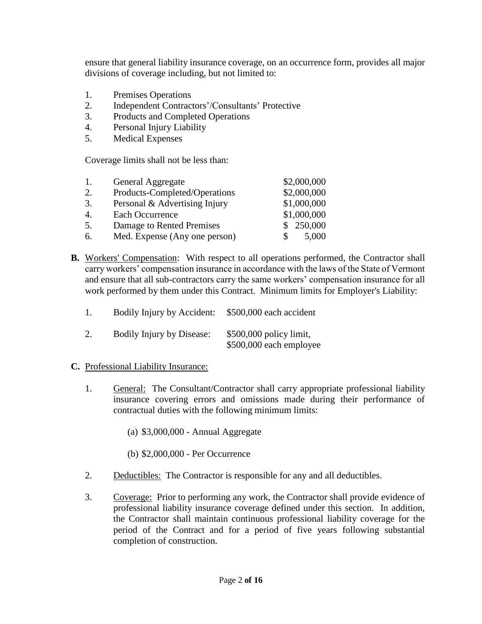ensure that general liability insurance coverage, on an occurrence form, provides all major divisions of coverage including, but not limited to:

- 1. Premises Operations
- 2. Independent Contractors'/Consultants' Protective
- 3. Products and Completed Operations
- 4. Personal Injury Liability
- 5. Medical Expenses

Coverage limits shall not be less than:

| 1. | General Aggregate             | \$2,000,000 |
|----|-------------------------------|-------------|
| 2. | Products-Completed/Operations | \$2,000,000 |
| 3. | Personal & Advertising Injury | \$1,000,000 |
| 4. | Each Occurrence               | \$1,000,000 |
| 5. | Damage to Rented Premises     | \$250,000   |
| 6. | Med. Expense (Any one person) | 5,000       |

**B.** Workers' Compensation: With respect to all operations performed, the Contractor shall carry workers' compensation insurance in accordance with the laws of the State of Vermont and ensure that all sub-contractors carry the same workers' compensation insurance for all work performed by them under this Contract. Minimum limits for Employer's Liability:

| 1. | Bodily Injury by Accident: | \$500,000 each accident                             |
|----|----------------------------|-----------------------------------------------------|
|    | Bodily Injury by Disease:  | $$500,000$ policy limit,<br>\$500,000 each employee |

#### **C.** Professional Liability Insurance:

- 1. General: The Consultant/Contractor shall carry appropriate professional liability insurance covering errors and omissions made during their performance of contractual duties with the following minimum limits:
	- (a) \$3,000,000 Annual Aggregate
	- (b) \$2,000,000 Per Occurrence
- 2. Deductibles: The Contractor is responsible for any and all deductibles.
- 3. Coverage: Prior to performing any work, the Contractor shall provide evidence of professional liability insurance coverage defined under this section. In addition, the Contractor shall maintain continuous professional liability coverage for the period of the Contract and for a period of five years following substantial completion of construction.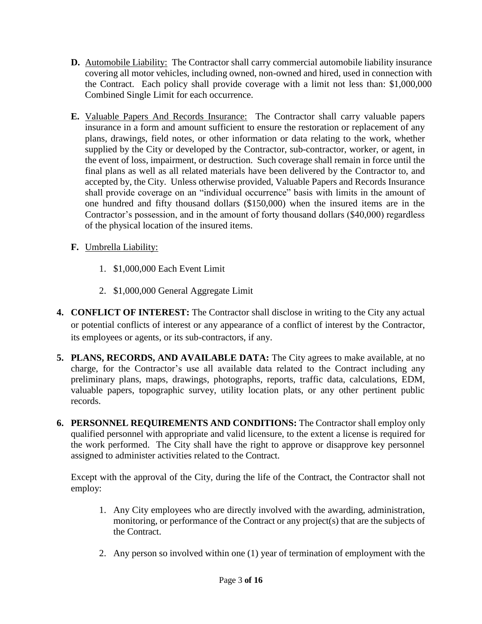- **D.** Automobile Liability: The Contractor shall carry commercial automobile liability insurance covering all motor vehicles, including owned, non-owned and hired, used in connection with the Contract. Each policy shall provide coverage with a limit not less than: \$1,000,000 Combined Single Limit for each occurrence.
- **E.** Valuable Papers And Records Insurance: The Contractor shall carry valuable papers insurance in a form and amount sufficient to ensure the restoration or replacement of any plans, drawings, field notes, or other information or data relating to the work, whether supplied by the City or developed by the Contractor, sub-contractor, worker, or agent, in the event of loss, impairment, or destruction. Such coverage shall remain in force until the final plans as well as all related materials have been delivered by the Contractor to, and accepted by, the City. Unless otherwise provided, Valuable Papers and Records Insurance shall provide coverage on an "individual occurrence" basis with limits in the amount of one hundred and fifty thousand dollars (\$150,000) when the insured items are in the Contractor's possession, and in the amount of forty thousand dollars (\$40,000) regardless of the physical location of the insured items.
- **F.** Umbrella Liability:
	- 1. \$1,000,000 Each Event Limit
	- 2. \$1,000,000 General Aggregate Limit
- **4. CONFLICT OF INTEREST:** The Contractor shall disclose in writing to the City any actual or potential conflicts of interest or any appearance of a conflict of interest by the Contractor, its employees or agents, or its sub-contractors, if any.
- **5. PLANS, RECORDS, AND AVAILABLE DATA:** The City agrees to make available, at no charge, for the Contractor's use all available data related to the Contract including any preliminary plans, maps, drawings, photographs, reports, traffic data, calculations, EDM, valuable papers, topographic survey, utility location plats, or any other pertinent public records.
- **6. PERSONNEL REQUIREMENTS AND CONDITIONS:** The Contractor shall employ only qualified personnel with appropriate and valid licensure, to the extent a license is required for the work performed. The City shall have the right to approve or disapprove key personnel assigned to administer activities related to the Contract.

Except with the approval of the City, during the life of the Contract, the Contractor shall not employ:

- 1. Any City employees who are directly involved with the awarding, administration, monitoring, or performance of the Contract or any project(s) that are the subjects of the Contract.
- 2. Any person so involved within one (1) year of termination of employment with the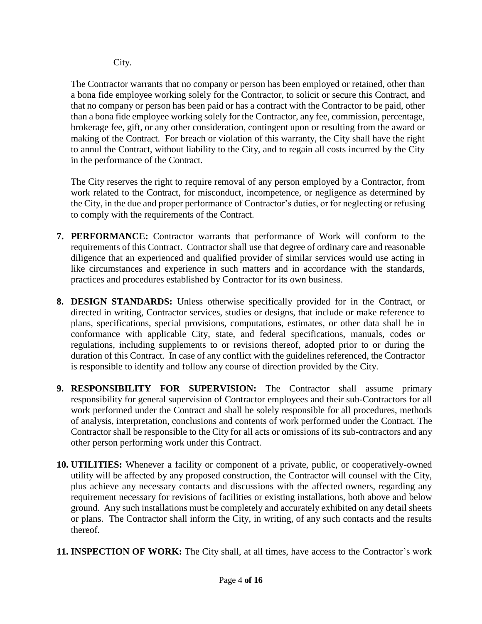City.

The Contractor warrants that no company or person has been employed or retained, other than a bona fide employee working solely for the Contractor, to solicit or secure this Contract, and that no company or person has been paid or has a contract with the Contractor to be paid, other than a bona fide employee working solely for the Contractor, any fee, commission, percentage, brokerage fee, gift, or any other consideration, contingent upon or resulting from the award or making of the Contract. For breach or violation of this warranty, the City shall have the right to annul the Contract, without liability to the City, and to regain all costs incurred by the City in the performance of the Contract.

The City reserves the right to require removal of any person employed by a Contractor, from work related to the Contract, for misconduct, incompetence, or negligence as determined by the City, in the due and proper performance of Contractor's duties, or for neglecting or refusing to comply with the requirements of the Contract.

- **7. PERFORMANCE:** Contractor warrants that performance of Work will conform to the requirements of this Contract. Contractor shall use that degree of ordinary care and reasonable diligence that an experienced and qualified provider of similar services would use acting in like circumstances and experience in such matters and in accordance with the standards, practices and procedures established by Contractor for its own business.
- **8. DESIGN STANDARDS:** Unless otherwise specifically provided for in the Contract, or directed in writing, Contractor services, studies or designs, that include or make reference to plans, specifications, special provisions, computations, estimates, or other data shall be in conformance with applicable City, state, and federal specifications, manuals, codes or regulations, including supplements to or revisions thereof, adopted prior to or during the duration of this Contract. In case of any conflict with the guidelines referenced, the Contractor is responsible to identify and follow any course of direction provided by the City.
- **9. RESPONSIBILITY FOR SUPERVISION:** The Contractor shall assume primary responsibility for general supervision of Contractor employees and their sub-Contractors for all work performed under the Contract and shall be solely responsible for all procedures, methods of analysis, interpretation, conclusions and contents of work performed under the Contract. The Contractor shall be responsible to the City for all acts or omissions of its sub-contractors and any other person performing work under this Contract.
- **10. UTILITIES:** Whenever a facility or component of a private, public, or cooperatively-owned utility will be affected by any proposed construction, the Contractor will counsel with the City, plus achieve any necessary contacts and discussions with the affected owners, regarding any requirement necessary for revisions of facilities or existing installations, both above and below ground. Any such installations must be completely and accurately exhibited on any detail sheets or plans. The Contractor shall inform the City, in writing, of any such contacts and the results thereof.
- **11. INSPECTION OF WORK:** The City shall, at all times, have access to the Contractor's work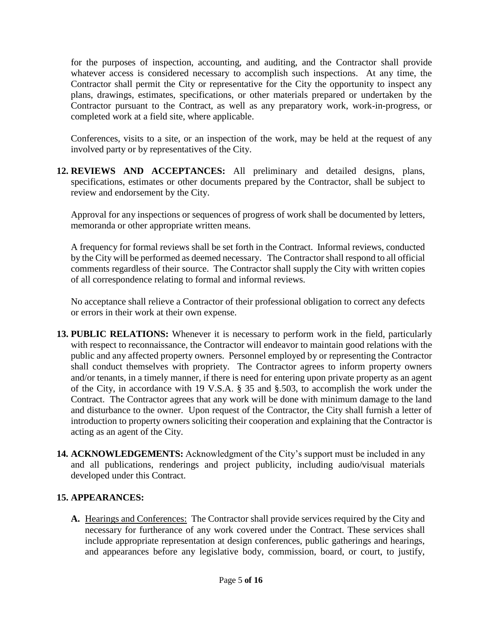for the purposes of inspection, accounting, and auditing, and the Contractor shall provide whatever access is considered necessary to accomplish such inspections. At any time, the Contractor shall permit the City or representative for the City the opportunity to inspect any plans, drawings, estimates, specifications, or other materials prepared or undertaken by the Contractor pursuant to the Contract, as well as any preparatory work, work-in-progress, or completed work at a field site, where applicable.

Conferences, visits to a site, or an inspection of the work, may be held at the request of any involved party or by representatives of the City.

**12. REVIEWS AND ACCEPTANCES:** All preliminary and detailed designs, plans, specifications, estimates or other documents prepared by the Contractor, shall be subject to review and endorsement by the City.

Approval for any inspections or sequences of progress of work shall be documented by letters, memoranda or other appropriate written means.

A frequency for formal reviews shall be set forth in the Contract. Informal reviews, conducted by the City will be performed as deemed necessary. The Contractor shall respond to all official comments regardless of their source. The Contractor shall supply the City with written copies of all correspondence relating to formal and informal reviews.

No acceptance shall relieve a Contractor of their professional obligation to correct any defects or errors in their work at their own expense.

- **13. PUBLIC RELATIONS:** Whenever it is necessary to perform work in the field, particularly with respect to reconnaissance, the Contractor will endeavor to maintain good relations with the public and any affected property owners. Personnel employed by or representing the Contractor shall conduct themselves with propriety. The Contractor agrees to inform property owners and/or tenants, in a timely manner, if there is need for entering upon private property as an agent of the City, in accordance with 19 V.S.A. § 35 and §.503, to accomplish the work under the Contract. The Contractor agrees that any work will be done with minimum damage to the land and disturbance to the owner. Upon request of the Contractor, the City shall furnish a letter of introduction to property owners soliciting their cooperation and explaining that the Contractor is acting as an agent of the City.
- **14. ACKNOWLEDGEMENTS:** Acknowledgment of the City's support must be included in any and all publications, renderings and project publicity, including audio/visual materials developed under this Contract.

# **15. APPEARANCES:**

**A.** Hearings and Conferences: The Contractor shall provide services required by the City and necessary for furtherance of any work covered under the Contract. These services shall include appropriate representation at design conferences, public gatherings and hearings, and appearances before any legislative body, commission, board, or court, to justify,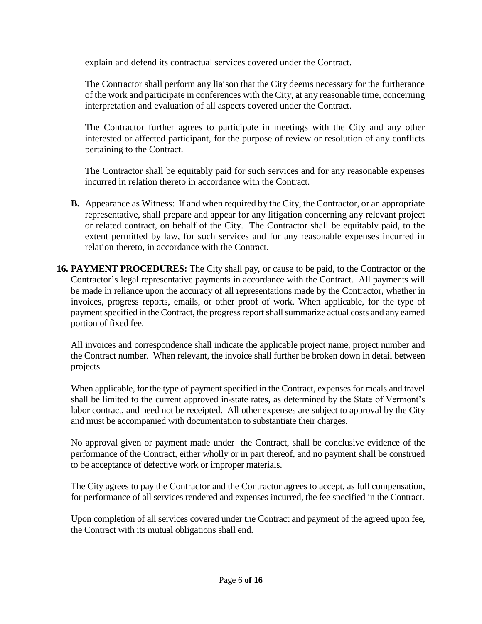explain and defend its contractual services covered under the Contract.

The Contractor shall perform any liaison that the City deems necessary for the furtherance of the work and participate in conferences with the City, at any reasonable time, concerning interpretation and evaluation of all aspects covered under the Contract.

The Contractor further agrees to participate in meetings with the City and any other interested or affected participant, for the purpose of review or resolution of any conflicts pertaining to the Contract.

The Contractor shall be equitably paid for such services and for any reasonable expenses incurred in relation thereto in accordance with the Contract.

- **B.** Appearance as Witness: If and when required by the City, the Contractor, or an appropriate representative, shall prepare and appear for any litigation concerning any relevant project or related contract, on behalf of the City. The Contractor shall be equitably paid, to the extent permitted by law, for such services and for any reasonable expenses incurred in relation thereto, in accordance with the Contract.
- **16. PAYMENT PROCEDURES:** The City shall pay, or cause to be paid, to the Contractor or the Contractor's legal representative payments in accordance with the Contract. All payments will be made in reliance upon the accuracy of all representations made by the Contractor, whether in invoices, progress reports, emails, or other proof of work. When applicable, for the type of payment specified in the Contract, the progress report shall summarize actual costs and any earned portion of fixed fee.

All invoices and correspondence shall indicate the applicable project name, project number and the Contract number. When relevant, the invoice shall further be broken down in detail between projects.

When applicable, for the type of payment specified in the Contract, expenses for meals and travel shall be limited to the current approved in-state rates, as determined by the State of Vermont's labor contract, and need not be receipted. All other expenses are subject to approval by the City and must be accompanied with documentation to substantiate their charges.

No approval given or payment made under the Contract, shall be conclusive evidence of the performance of the Contract, either wholly or in part thereof, and no payment shall be construed to be acceptance of defective work or improper materials.

The City agrees to pay the Contractor and the Contractor agrees to accept, as full compensation, for performance of all services rendered and expenses incurred, the fee specified in the Contract.

Upon completion of all services covered under the Contract and payment of the agreed upon fee, the Contract with its mutual obligations shall end.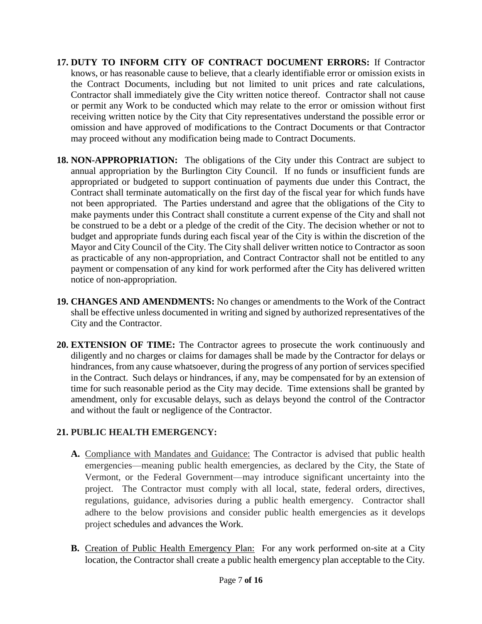- **17. DUTY TO INFORM CITY OF CONTRACT DOCUMENT ERRORS:** If Contractor knows, or has reasonable cause to believe, that a clearly identifiable error or omission exists in the Contract Documents, including but not limited to unit prices and rate calculations, Contractor shall immediately give the City written notice thereof. Contractor shall not cause or permit any Work to be conducted which may relate to the error or omission without first receiving written notice by the City that City representatives understand the possible error or omission and have approved of modifications to the Contract Documents or that Contractor may proceed without any modification being made to Contract Documents.
- **18. NON-APPROPRIATION:** The obligations of the City under this Contract are subject to annual appropriation by the Burlington City Council. If no funds or insufficient funds are appropriated or budgeted to support continuation of payments due under this Contract, the Contract shall terminate automatically on the first day of the fiscal year for which funds have not been appropriated. The Parties understand and agree that the obligations of the City to make payments under this Contract shall constitute a current expense of the City and shall not be construed to be a debt or a pledge of the credit of the City. The decision whether or not to budget and appropriate funds during each fiscal year of the City is within the discretion of the Mayor and City Council of the City. The City shall deliver written notice to Contractor as soon as practicable of any non-appropriation, and Contract Contractor shall not be entitled to any payment or compensation of any kind for work performed after the City has delivered written notice of non-appropriation.
- **19. CHANGES AND AMENDMENTS:** No changes or amendments to the Work of the Contract shall be effective unless documented in writing and signed by authorized representatives of the City and the Contractor.
- **20. EXTENSION OF TIME:** The Contractor agrees to prosecute the work continuously and diligently and no charges or claims for damages shall be made by the Contractor for delays or hindrances, from any cause whatsoever, during the progress of any portion of services specified in the Contract. Such delays or hindrances, if any, may be compensated for by an extension of time for such reasonable period as the City may decide. Time extensions shall be granted by amendment, only for excusable delays, such as delays beyond the control of the Contractor and without the fault or negligence of the Contractor.

# **21. PUBLIC HEALTH EMERGENCY:**

- **A.** Compliance with Mandates and Guidance: The Contractor is advised that public health emergencies—meaning public health emergencies, as declared by the City, the State of Vermont, or the Federal Government—may introduce significant uncertainty into the project. The Contractor must comply with all local, state, federal orders, directives, regulations, guidance, advisories during a public health emergency. Contractor shall adhere to the below provisions and consider public health emergencies as it develops project schedules and advances the Work.
- **B.** Creation of Public Health Emergency Plan: For any work performed on-site at a City location, the Contractor shall create a public health emergency plan acceptable to the City.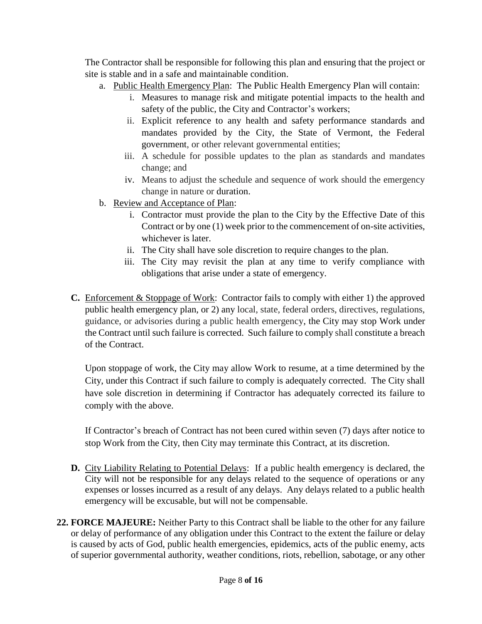The Contractor shall be responsible for following this plan and ensuring that the project or site is stable and in a safe and maintainable condition.

- a. Public Health Emergency Plan: The Public Health Emergency Plan will contain:
	- i. Measures to manage risk and mitigate potential impacts to the health and safety of the public, the City and Contractor's workers;
	- ii. Explicit reference to any health and safety performance standards and mandates provided by the City, the State of Vermont, the Federal government, or other relevant governmental entities;
	- iii. A schedule for possible updates to the plan as standards and mandates change; and
	- iv. Means to adjust the schedule and sequence of work should the emergency change in nature or duration.
- b. Review and Acceptance of Plan:
	- i. Contractor must provide the plan to the City by the Effective Date of this Contract or by one (1) week prior to the commencement of on-site activities, whichever is later.
	- ii. The City shall have sole discretion to require changes to the plan.
	- iii. The City may revisit the plan at any time to verify compliance with obligations that arise under a state of emergency.
- **C.** Enforcement & Stoppage of Work: Contractor fails to comply with either 1) the approved public health emergency plan, or 2) any local, state, federal orders, directives, regulations, guidance, or advisories during a public health emergency, the City may stop Work under the Contract until such failure is corrected. Such failure to comply shall constitute a breach of the Contract.

Upon stoppage of work, the City may allow Work to resume, at a time determined by the City, under this Contract if such failure to comply is adequately corrected. The City shall have sole discretion in determining if Contractor has adequately corrected its failure to comply with the above.

If Contractor's breach of Contract has not been cured within seven (7) days after notice to stop Work from the City, then City may terminate this Contract, at its discretion.

- **D.** City Liability Relating to Potential Delays: If a public health emergency is declared, the City will not be responsible for any delays related to the sequence of operations or any expenses or losses incurred as a result of any delays. Any delays related to a public health emergency will be excusable, but will not be compensable.
- **22. FORCE MAJEURE:** Neither Party to this Contract shall be liable to the other for any failure or delay of performance of any obligation under this Contract to the extent the failure or delay is caused by acts of God, public health emergencies, epidemics, acts of the public enemy, acts of superior governmental authority, weather conditions, riots, rebellion, sabotage, or any other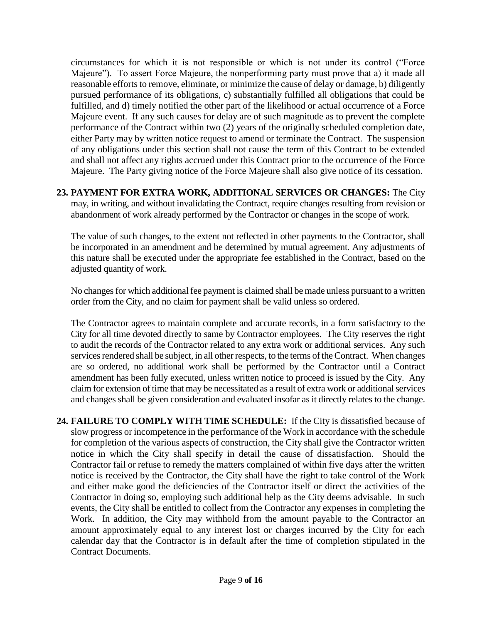circumstances for which it is not responsible or which is not under its control ("Force Majeure"). To assert Force Majeure, the nonperforming party must prove that a) it made all reasonable efforts to remove, eliminate, or minimize the cause of delay or damage, b) diligently pursued performance of its obligations, c) substantially fulfilled all obligations that could be fulfilled, and d) timely notified the other part of the likelihood or actual occurrence of a Force Majeure event. If any such causes for delay are of such magnitude as to prevent the complete performance of the Contract within two (2) years of the originally scheduled completion date, either Party may by written notice request to amend or terminate the Contract. The suspension of any obligations under this section shall not cause the term of this Contract to be extended and shall not affect any rights accrued under this Contract prior to the occurrence of the Force Majeure. The Party giving notice of the Force Majeure shall also give notice of its cessation.

#### **23. PAYMENT FOR EXTRA WORK, ADDITIONAL SERVICES OR CHANGES:** The City may, in writing, and without invalidating the Contract, require changes resulting from revision or abandonment of work already performed by the Contractor or changes in the scope of work.

The value of such changes, to the extent not reflected in other payments to the Contractor, shall be incorporated in an amendment and be determined by mutual agreement. Any adjustments of this nature shall be executed under the appropriate fee established in the Contract, based on the adjusted quantity of work.

No changes for which additional fee payment is claimed shall be made unless pursuant to a written order from the City, and no claim for payment shall be valid unless so ordered.

The Contractor agrees to maintain complete and accurate records, in a form satisfactory to the City for all time devoted directly to same by Contractor employees. The City reserves the right to audit the records of the Contractor related to any extra work or additional services. Any such services rendered shall be subject, in all other respects, to the terms of the Contract. When changes are so ordered, no additional work shall be performed by the Contractor until a Contract amendment has been fully executed, unless written notice to proceed is issued by the City. Any claim for extension of time that may be necessitated as a result of extra work or additional services and changes shall be given consideration and evaluated insofar as it directly relates to the change.

**24. FAILURE TO COMPLY WITH TIME SCHEDULE:** If the City is dissatisfied because of slow progress or incompetence in the performance of the Work in accordance with the schedule for completion of the various aspects of construction, the City shall give the Contractor written notice in which the City shall specify in detail the cause of dissatisfaction. Should the Contractor fail or refuse to remedy the matters complained of within five days after the written notice is received by the Contractor, the City shall have the right to take control of the Work and either make good the deficiencies of the Contractor itself or direct the activities of the Contractor in doing so, employing such additional help as the City deems advisable. In such events, the City shall be entitled to collect from the Contractor any expenses in completing the Work. In addition, the City may withhold from the amount payable to the Contractor an amount approximately equal to any interest lost or charges incurred by the City for each calendar day that the Contractor is in default after the time of completion stipulated in the Contract Documents.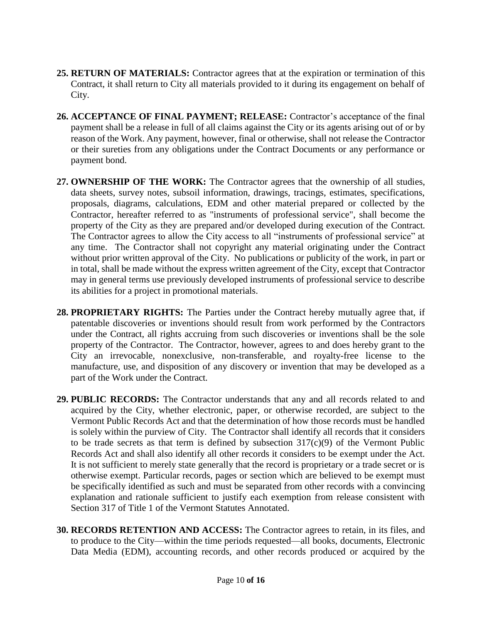- **25. RETURN OF MATERIALS:** Contractor agrees that at the expiration or termination of this Contract, it shall return to City all materials provided to it during its engagement on behalf of City.
- **26. ACCEPTANCE OF FINAL PAYMENT; RELEASE:** Contractor's acceptance of the final payment shall be a release in full of all claims against the City or its agents arising out of or by reason of the Work. Any payment, however, final or otherwise, shall not release the Contractor or their sureties from any obligations under the Contract Documents or any performance or payment bond.
- **27. OWNERSHIP OF THE WORK:** The Contractor agrees that the ownership of all studies, data sheets, survey notes, subsoil information, drawings, tracings, estimates, specifications, proposals, diagrams, calculations, EDM and other material prepared or collected by the Contractor, hereafter referred to as "instruments of professional service", shall become the property of the City as they are prepared and/or developed during execution of the Contract. The Contractor agrees to allow the City access to all "instruments of professional service" at any time. The Contractor shall not copyright any material originating under the Contract without prior written approval of the City. No publications or publicity of the work, in part or in total, shall be made without the express written agreement of the City, except that Contractor may in general terms use previously developed instruments of professional service to describe its abilities for a project in promotional materials.
- **28. PROPRIETARY RIGHTS:** The Parties under the Contract hereby mutually agree that, if patentable discoveries or inventions should result from work performed by the Contractors under the Contract, all rights accruing from such discoveries or inventions shall be the sole property of the Contractor. The Contractor, however, agrees to and does hereby grant to the City an irrevocable, nonexclusive, non-transferable, and royalty-free license to the manufacture, use, and disposition of any discovery or invention that may be developed as a part of the Work under the Contract.
- **29. PUBLIC RECORDS:** The Contractor understands that any and all records related to and acquired by the City, whether electronic, paper, or otherwise recorded, are subject to the Vermont Public Records Act and that the determination of how those records must be handled is solely within the purview of City. The Contractor shall identify all records that it considers to be trade secrets as that term is defined by subsection  $317(c)(9)$  of the Vermont Public Records Act and shall also identify all other records it considers to be exempt under the Act. It is not sufficient to merely state generally that the record is proprietary or a trade secret or is otherwise exempt. Particular records, pages or section which are believed to be exempt must be specifically identified as such and must be separated from other records with a convincing explanation and rationale sufficient to justify each exemption from release consistent with Section 317 of Title 1 of the Vermont Statutes Annotated.
- **30. RECORDS RETENTION AND ACCESS:** The Contractor agrees to retain, in its files, and to produce to the City—within the time periods requested—all books, documents, Electronic Data Media (EDM), accounting records, and other records produced or acquired by the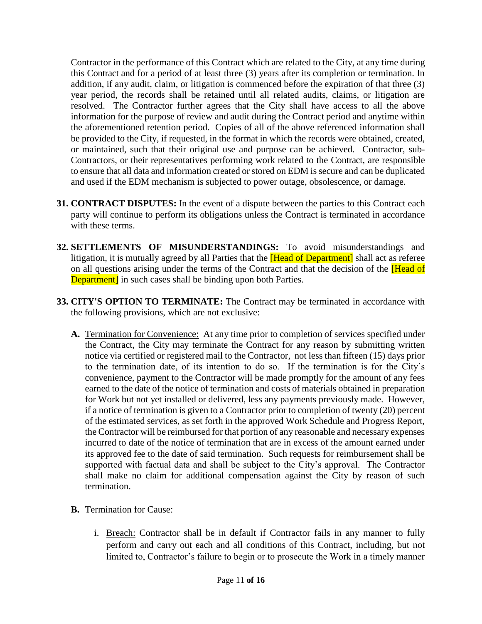Contractor in the performance of this Contract which are related to the City, at any time during this Contract and for a period of at least three (3) years after its completion or termination. In addition, if any audit, claim, or litigation is commenced before the expiration of that three (3) year period, the records shall be retained until all related audits, claims, or litigation are resolved. The Contractor further agrees that the City shall have access to all the above information for the purpose of review and audit during the Contract period and anytime within the aforementioned retention period. Copies of all of the above referenced information shall be provided to the City, if requested, in the format in which the records were obtained, created, or maintained, such that their original use and purpose can be achieved. Contractor, sub-Contractors, or their representatives performing work related to the Contract, are responsible to ensure that all data and information created or stored on EDM is secure and can be duplicated and used if the EDM mechanism is subjected to power outage, obsolescence, or damage.

- **31. CONTRACT DISPUTES:** In the event of a dispute between the parties to this Contract each party will continue to perform its obligations unless the Contract is terminated in accordance with these terms.
- **32. SETTLEMENTS OF MISUNDERSTANDINGS:** To avoid misunderstandings and litigation, it is mutually agreed by all Parties that the **[Head of Department]** shall act as referee on all questions arising under the terms of the Contract and that the decision of the **[Head of**] **Department** in such cases shall be binding upon both Parties.
- **33. CITY'S OPTION TO TERMINATE:** The Contract may be terminated in accordance with the following provisions, which are not exclusive:
	- **A.** Termination for Convenience: At any time prior to completion of services specified under the Contract, the City may terminate the Contract for any reason by submitting written notice via certified or registered mail to the Contractor, not less than fifteen (15) days prior to the termination date, of its intention to do so. If the termination is for the City's convenience, payment to the Contractor will be made promptly for the amount of any fees earned to the date of the notice of termination and costs of materials obtained in preparation for Work but not yet installed or delivered, less any payments previously made. However, if a notice of termination is given to a Contractor prior to completion of twenty (20) percent of the estimated services, as set forth in the approved Work Schedule and Progress Report, the Contractor will be reimbursed for that portion of any reasonable and necessary expenses incurred to date of the notice of termination that are in excess of the amount earned under its approved fee to the date of said termination. Such requests for reimbursement shall be supported with factual data and shall be subject to the City's approval. The Contractor shall make no claim for additional compensation against the City by reason of such termination.
	- **B.** Termination for Cause:
		- i. Breach: Contractor shall be in default if Contractor fails in any manner to fully perform and carry out each and all conditions of this Contract, including, but not limited to, Contractor's failure to begin or to prosecute the Work in a timely manner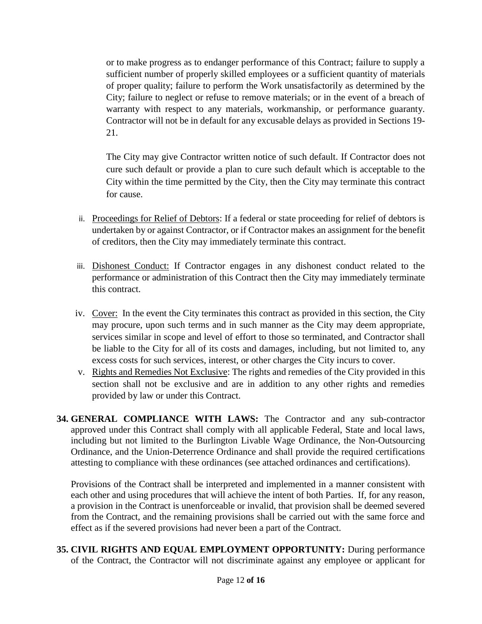or to make progress as to endanger performance of this Contract; failure to supply a sufficient number of properly skilled employees or a sufficient quantity of materials of proper quality; failure to perform the Work unsatisfactorily as determined by the City; failure to neglect or refuse to remove materials; or in the event of a breach of warranty with respect to any materials, workmanship, or performance guaranty. Contractor will not be in default for any excusable delays as provided in Sections 19- 21.

The City may give Contractor written notice of such default. If Contractor does not cure such default or provide a plan to cure such default which is acceptable to the City within the time permitted by the City, then the City may terminate this contract for cause.

- ii. Proceedings for Relief of Debtors: If a federal or state proceeding for relief of debtors is undertaken by or against Contractor, or if Contractor makes an assignment for the benefit of creditors, then the City may immediately terminate this contract.
- iii. Dishonest Conduct: If Contractor engages in any dishonest conduct related to the performance or administration of this Contract then the City may immediately terminate this contract.
- iv. Cover: In the event the City terminates this contract as provided in this section, the City may procure, upon such terms and in such manner as the City may deem appropriate, services similar in scope and level of effort to those so terminated, and Contractor shall be liable to the City for all of its costs and damages, including, but not limited to, any excess costs for such services, interest, or other charges the City incurs to cover.
- v. Rights and Remedies Not Exclusive: The rights and remedies of the City provided in this section shall not be exclusive and are in addition to any other rights and remedies provided by law or under this Contract.
- **34. GENERAL COMPLIANCE WITH LAWS:** The Contractor and any sub-contractor approved under this Contract shall comply with all applicable Federal, State and local laws, including but not limited to the Burlington Livable Wage Ordinance, the Non-Outsourcing Ordinance, and the Union-Deterrence Ordinance and shall provide the required certifications attesting to compliance with these ordinances (see attached ordinances and certifications).

Provisions of the Contract shall be interpreted and implemented in a manner consistent with each other and using procedures that will achieve the intent of both Parties. If, for any reason, a provision in the Contract is unenforceable or invalid, that provision shall be deemed severed from the Contract, and the remaining provisions shall be carried out with the same force and effect as if the severed provisions had never been a part of the Contract.

**35. CIVIL RIGHTS AND EQUAL EMPLOYMENT OPPORTUNITY:** During performance of the Contract, the Contractor will not discriminate against any employee or applicant for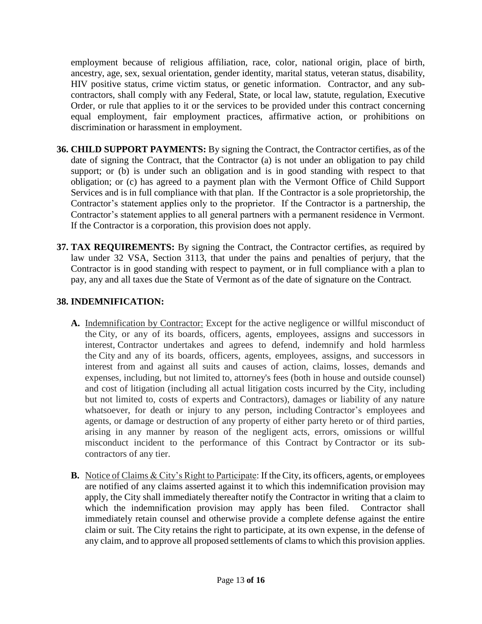employment because of religious affiliation, race, color, national origin, place of birth, ancestry, age, sex, sexual orientation, gender identity, marital status, veteran status, disability, HIV positive status, crime victim status, or genetic information. Contractor, and any subcontractors, shall comply with any Federal, State, or local law, statute, regulation, Executive Order, or rule that applies to it or the services to be provided under this contract concerning equal employment, fair employment practices, affirmative action, or prohibitions on discrimination or harassment in employment.

- **36. CHILD SUPPORT PAYMENTS:** By signing the Contract, the Contractor certifies, as of the date of signing the Contract, that the Contractor (a) is not under an obligation to pay child support; or (b) is under such an obligation and is in good standing with respect to that obligation; or (c) has agreed to a payment plan with the Vermont Office of Child Support Services and is in full compliance with that plan. If the Contractor is a sole proprietorship, the Contractor's statement applies only to the proprietor. If the Contractor is a partnership, the Contractor's statement applies to all general partners with a permanent residence in Vermont. If the Contractor is a corporation, this provision does not apply.
- **37. TAX REQUIREMENTS:** By signing the Contract, the Contractor certifies, as required by law under 32 VSA, Section 3113, that under the pains and penalties of perjury, that the Contractor is in good standing with respect to payment, or in full compliance with a plan to pay, any and all taxes due the State of Vermont as of the date of signature on the Contract.

#### **38. INDEMNIFICATION:**

- **A.** Indemnification by Contractor: Except for the active negligence or willful misconduct of the City, or any of its boards, officers, agents, employees, assigns and successors in interest, Contractor undertakes and agrees to defend, indemnify and hold harmless the City and any of its boards, officers, agents, employees, assigns, and successors in interest from and against all suits and causes of action, claims, losses, demands and expenses, including, but not limited to, attorney's fees (both in house and outside counsel) and cost of litigation (including all actual litigation costs incurred by the City, including but not limited to, costs of experts and Contractors), damages or liability of any nature whatsoever, for death or injury to any person, including Contractor's employees and agents, or damage or destruction of any property of either party hereto or of third parties, arising in any manner by reason of the negligent acts, errors, omissions or willful misconduct incident to the performance of this Contract by Contractor or its subcontractors of any tier.
- **B.** Notice of Claims & City's Right to Participate: If the City, its officers, agents, or employees are notified of any claims asserted against it to which this indemnification provision may apply, the City shall immediately thereafter notify the Contractor in writing that a claim to which the indemnification provision may apply has been filed. Contractor shall immediately retain counsel and otherwise provide a complete defense against the entire claim or suit. The City retains the right to participate, at its own expense, in the defense of any claim, and to approve all proposed settlements of clams to which this provision applies.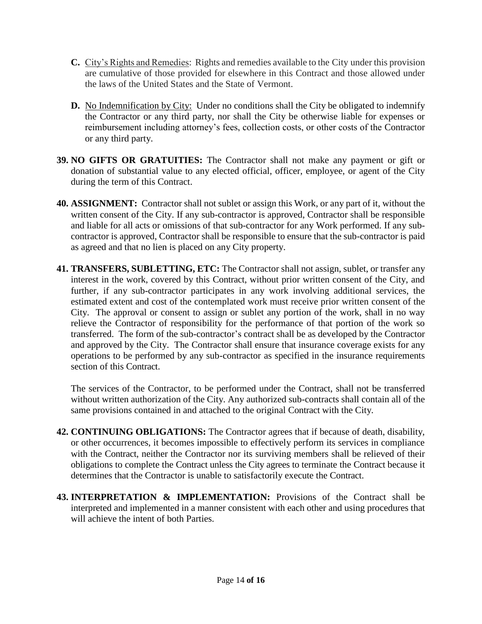- **C.** City's Rights and Remedies: Rights and remedies available to the City under this provision are cumulative of those provided for elsewhere in this Contract and those allowed under the laws of the United States and the State of Vermont.
- **D.** No Indemnification by City: Under no conditions shall the City be obligated to indemnify the Contractor or any third party, nor shall the City be otherwise liable for expenses or reimbursement including attorney's fees, collection costs, or other costs of the Contractor or any third party.
- **39. NO GIFTS OR GRATUITIES:** The Contractor shall not make any payment or gift or donation of substantial value to any elected official, officer, employee, or agent of the City during the term of this Contract.
- **40. ASSIGNMENT:** Contractor shall not sublet or assign this Work, or any part of it, without the written consent of the City. If any sub-contractor is approved, Contractor shall be responsible and liable for all acts or omissions of that sub-contractor for any Work performed. If any subcontractor is approved, Contractor shall be responsible to ensure that the sub-contractor is paid as agreed and that no lien is placed on any City property.
- **41. TRANSFERS, SUBLETTING, ETC:** The Contractor shall not assign, sublet, or transfer any interest in the work, covered by this Contract, without prior written consent of the City, and further, if any sub-contractor participates in any work involving additional services, the estimated extent and cost of the contemplated work must receive prior written consent of the City. The approval or consent to assign or sublet any portion of the work, shall in no way relieve the Contractor of responsibility for the performance of that portion of the work so transferred. The form of the sub-contractor's contract shall be as developed by the Contractor and approved by the City. The Contractor shall ensure that insurance coverage exists for any operations to be performed by any sub-contractor as specified in the insurance requirements section of this Contract.

The services of the Contractor, to be performed under the Contract, shall not be transferred without written authorization of the City. Any authorized sub-contracts shall contain all of the same provisions contained in and attached to the original Contract with the City.

- **42. CONTINUING OBLIGATIONS:** The Contractor agrees that if because of death, disability, or other occurrences, it becomes impossible to effectively perform its services in compliance with the Contract, neither the Contractor nor its surviving members shall be relieved of their obligations to complete the Contract unless the City agrees to terminate the Contract because it determines that the Contractor is unable to satisfactorily execute the Contract.
- **43. INTERPRETATION & IMPLEMENTATION:** Provisions of the Contract shall be interpreted and implemented in a manner consistent with each other and using procedures that will achieve the intent of both Parties.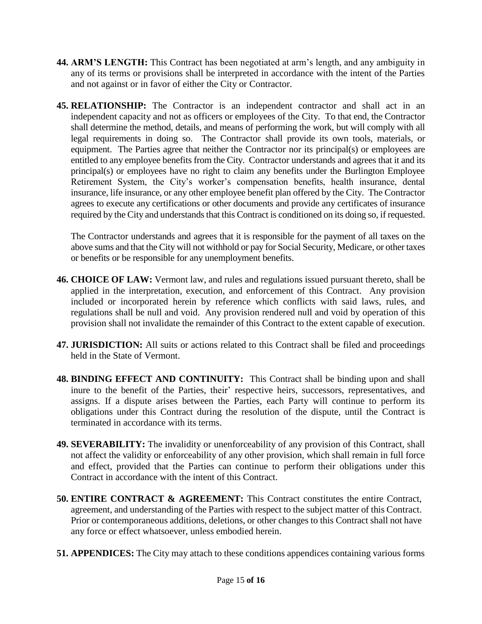- **44. ARM'S LENGTH:** This Contract has been negotiated at arm's length, and any ambiguity in any of its terms or provisions shall be interpreted in accordance with the intent of the Parties and not against or in favor of either the City or Contractor.
- **45. RELATIONSHIP:** The Contractor is an independent contractor and shall act in an independent capacity and not as officers or employees of the City. To that end, the Contractor shall determine the method, details, and means of performing the work, but will comply with all legal requirements in doing so. The Contractor shall provide its own tools, materials, or equipment. The Parties agree that neither the Contractor nor its principal(s) or employees are entitled to any employee benefits from the City. Contractor understands and agrees that it and its principal(s) or employees have no right to claim any benefits under the Burlington Employee Retirement System, the City's worker's compensation benefits, health insurance, dental insurance, life insurance, or any other employee benefit plan offered by the City. The Contractor agrees to execute any certifications or other documents and provide any certificates of insurance required by the City and understands that this Contract is conditioned on its doing so, if requested.

The Contractor understands and agrees that it is responsible for the payment of all taxes on the above sums and that the City will not withhold or pay for Social Security, Medicare, or other taxes or benefits or be responsible for any unemployment benefits.

- **46. CHOICE OF LAW:** Vermont law, and rules and regulations issued pursuant thereto, shall be applied in the interpretation, execution, and enforcement of this Contract. Any provision included or incorporated herein by reference which conflicts with said laws, rules, and regulations shall be null and void. Any provision rendered null and void by operation of this provision shall not invalidate the remainder of this Contract to the extent capable of execution.
- **47. JURISDICTION:** All suits or actions related to this Contract shall be filed and proceedings held in the State of Vermont.
- **48. BINDING EFFECT AND CONTINUITY:** This Contract shall be binding upon and shall inure to the benefit of the Parties, their' respective heirs, successors, representatives, and assigns. If a dispute arises between the Parties, each Party will continue to perform its obligations under this Contract during the resolution of the dispute, until the Contract is terminated in accordance with its terms.
- **49. SEVERABILITY:** The invalidity or unenforceability of any provision of this Contract, shall not affect the validity or enforceability of any other provision, which shall remain in full force and effect, provided that the Parties can continue to perform their obligations under this Contract in accordance with the intent of this Contract.
- **50. ENTIRE CONTRACT & AGREEMENT:** This Contract constitutes the entire Contract, agreement, and understanding of the Parties with respect to the subject matter of this Contract. Prior or contemporaneous additions, deletions, or other changes to this Contract shall not have any force or effect whatsoever, unless embodied herein.
- **51. APPENDICES:** The City may attach to these conditions appendices containing various forms